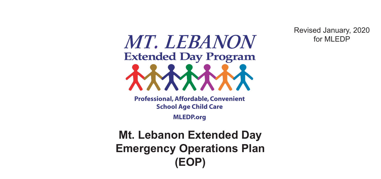Revised January, 2020 for MI FDP

# MT. LEBANON **Extended Day Program**

**Professional, Affordable, Convenient School Age Child Care**

**MLEDP.org**

**Mt. Lebanon Extended Day Emergency Operations Plan (EOP)**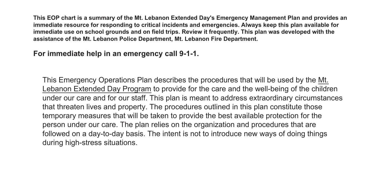**This EOP chart is a summary of the Mt. Lebanon Extended Day's Emergency Management Plan and provides an immediate resource for responding to critical incidents and emergencies. Always keep this plan available for immediate use on school grounds and on field trips. Review it frequently. This plan was developed with the assistance of the Mt. Lebanon Police Department, Mt. Lebanon Fire Department.** 

**For immediate help in an emergency call 9-1-1.** 

This Emergency Operations Plan describes the procedures that will be used by the Mt. Lebanon Extended Day Program to provide for the care and the well-being of the children under our care and for our staff. This plan is meant to address extraordinary circumstances that threaten lives and property. The procedures outlined in this plan constitute those temporary measures that will be taken to provide the best available protection for the person under our care. The plan relies on the organization and procedures that are followed on a day-to-day basis. The intent is not to introduce new ways of doing things during high-stress situations.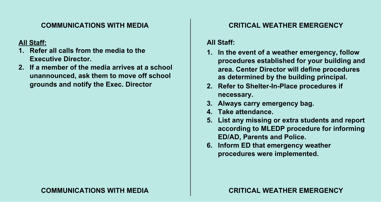# **COMMUNICATIONS WITH MEDIA COMMUNICATIONS WITH MEDIA COMMUNICATIONS WITH MEDIA COMMUNICATIONS WITH MEDIA**

# **All Staff: All Staff:**

- **COMMUNICATION MEDIA COMMUNICATION Executive Director. Executive Director.**
- **2. If a member of the media arrives at a school All Staff: All Staff: 2. If a member of the media arrives at a school 1. Referred all calls from the media to the media to the state of the media to the media to the media to the media to the media to the media to the media to the media to the media to the media to the media to the media grounds and notify the Exec. Director Executive Director. 2. If a measure and the media arrives arrives at a school Executive Director. 2. If a member of the media arrives at a school grounds and notify the Exec. Director unannounced, ask them to move off school**

## **CRITICAL WEATHER EMERGENCY CRITICAL WEATHER EMERGENCY CRITICAL WEATHER EMERGENCY CRITICAL WEATHER EMERGENCY**

### **All Staff: All Staff:**

- **1. In the event of a weather emergency, follow CRITICAL WEATHER EMERGENCY CRITICAL WEATHER EMERGENCY procedures established for your building and All Staff: All Staff: procedures established for your building and area. Center Director will define procedures area. Center Director will define procedures as determined by the building principal. 1. In the event of a weather emergency, follow 1. In the event of a weather emergency, follow as determined by the building principal. procedures the stable for your building principal. 1. In the event of a weather emergency, follow**
- **2.** Refer to Shelter-In-Place procedures if **hecessary.**<br> **as determined by the building principal.** a. **Neier to offerer first lace procedures** in 2. Refer to Shelter-In-Place procedures if
- **2. Always carry emergency bag.**
- **4. Take attendance. necessary. necessary. 4. Take attendance.**
- **5. List any missing or extra students and report 5. List any missing or extra students and report according to MLEDP procedure for informing 3. Always carry emergency bag. 3. Always carry emergency bag. ED/AD, Parents and Police. 4. Take attendance. 4. Take attendance. EDIAD, FAISING AND FUNCE.**<br>A **1.5. FD.** (1.1.) **according to MLEDP procedure for informing ED/AD, Parents and Police.**
- **6. Inform ED that emergency weather 5. List any missing or extra students and report procedures were implemented. ED/AD, Parents and Police. ED/AD, Parents and Police. procedures were implemented. according to MLEDP procedure for informing according to MLEDP procedure for informing 6. Inform ED that emergency weather**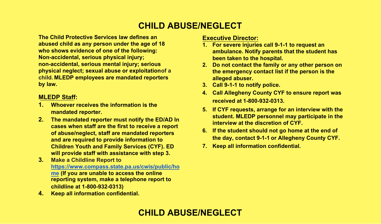#### **non-accidental, serious mental injury; serious physical neglect; sexual abuse or exploitationof a 2. Do not contact the family or any other person on CHILD ABUSE/NEGLECT the emergency contact list if the person is the**

**Child Protective Services law defines an by law. abused child as any person under the age of 18 Mon-accidental, serious physical injury; 1. Whoever receives the information is the** child. MLEDP emplo **2. The mandated reporter must notify the ED/AD In by law. The Child Who shows evidence of one of the following: non-accidental, serious mental injury; serious Non-accidental, serious physical injury; physical neglect; sexual abuse or exploitationof a non-accidental, serious mental injury; serious child. MLEDP employees are mandated reporters physical abuse of exploitations**  $\mathbf{r}$  abuse or exploitation  $\mathbf{r}$ 

#### **cases when staff are the first to receive a report of abuse/neglect, staff are mandated reporters child. MLEDP employees are mandated reporters MLEDP Staff:**

- **1.** Whoever receives the information is the **Children Wouth and Family Booster.**<br> **EDUCATE:**
- **2.** The mandated reporter must notify the ED/AD In **1. Cases when staff are the first to receive a report cases** when staff are the first to receive a report **https://www.compass.state.pa.us/cwis/public/ho and are required to provide information to me (If you are unable to access the online 2. The mandated reporter must notify the ED/AD In Children Youth and Family Services (CYF). ED callent fourn and framily dervices (CTTT).** LD<br>will provide staff with assistance with step 3. **mandated reporter. of abuse/neglect, staff are mandated reporters**
- **childline Report to**<br> **3.** Make a Childline Report to **4. Keep all information confidential. and are required to provide information to https://www.compass.state.pa.us/cwis/public/ho <u>Example 15 you are unable to access the online</u> reporting system, make a telephone report to 3. Make a Childline Report to childline at 1-800-932-0313)**
	- **https://www.compare.org/compare.org/compare.org/compare.org/compare.org/compare.org/compare.org/compare.org/compare.org/compare.org/compare.org/compare.org/compare.org/compare.org/compare.org/compare.org/compare.org/compa**

#### **Executive Director:**

- **3. Call 9-1-1 to notify police. 1. For severe injuries call 9-1-1 to request an 4. Allegency County County Parents that the student has Executive County County County County County County County County County County County County County County County County County County County County County Coun 1. been taken to the hospital.** The magnetic and the severe  $\mathbf{r}$
- **2.** Do not contact the family or any other person on **fine emergency contact list if the person is the**<br>alleged abuses **student and student.**<br> **ALLO 110 personnel may participate in the student may participate in the student of the student of the student alleged abuser.**
- **interview at the discretion of CYF. 2. Call 9-1-1 to notify police.**
- **4. Can Aneghery County Off to ensure report was the day of Allegheny County Cyf.**<br> **3. Contact 9-1-1-1 County Cyf. the emergency contact list if the person is the 4. Call Allegheny County CYF to ensure report was alleged abuser. received at 1-800-932-0313.**
- **7. Keep all information confidential. 4. Call Allegheny County CYF to ensure report was student. MLEDP personnel may participate in the interview at the discretion of CYF. 5. If CYF requests, arrange for an interview with the**
- **6.** If the student should not go home at the end of **student. MLEDP personnel may participate in the the day, contact 9-1-1 or Allegheny County CYF.**
- **interview at the discretion of CYF. 7. Keep all information confidential.**

# **CHILD ABUSE/NEGLECT CHILD ABUSE/NEGLECT**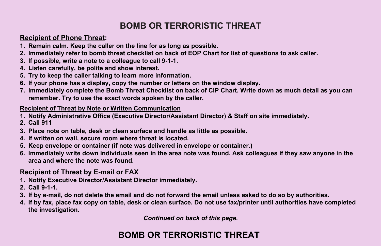#### *2. <b>Immediately complete the Bomb Threat Checklist on back of CIP Chart. Write down as much detail as would* **down as**  $\sim$ **remember. Try to use the exact by the exact words spoken by the caller. BOMB OR TERRORISTIC THREAT**

#### **Recipient of Phone Threat:** And the second second second second second second second second second second second **Recipient of Threat by Note or Written Communication**

- 1. Remain calm. Keep the caller on the line for as long as possible.
- 2. Immediately refer to bomb threat checklist on back of EOP Chart for list of questions to ask caller.
- 2. Immediately feler to bomb threat checkinst on back of EOP Unart for hist of questions to ask caner.<br>3. If possible, write a note to a colleague to call 9-1-1.
- 3. If possible, write a note to a colleague to call 3-1-1.<br>4. Listen carefully, be polite and show interest.
- 4. Eisten carefully, be polite and show interest.<br>5. Try to keep the caller talking to learn more information.
- 5. Try to keep the caller talking to learn more information.<br>6. If your phone has a display, copy the number or letters on the window display.
- 0. If your prione has a display, copy the number of letters on the window display.<br>7. Immediately complete the Bomb Threat Checklist on back of CIP Chart. Write down as much detail as you can r. immediately complete the Bomb Threat Oneckhist on Back of Oil Onart. Write down as much detail as you can<br>remember. Try to use the exact words spoken by the caller.

# **Recipient of Threat by Note or Written Communication**

- **Recipient of Threat by Note or Written Communication**  1. Notify Administrative Office (Executive Director/Assistant Director) & Staff on site immediately.<br>2. Call 944 **2. Call 911 1.Notify Administrative Office (Executive Director/Assistant Director) & Staff on site immediately. 1.** Notify Administrative Office (Executive Director/Assistant Director) & Staff on site immediately.
- **4. If by fax, place fax copy on table, desk or clean surface. Do not use fax/printer until authorities have completed**
- **2. Call 911 3. Place note on table, desk or clean surface and handle as little as possible. 3. If by e-mail, do not delete the email and do not forward the email unless asked to do so by authorities. 1.Notify Administrative Office (Executive Director/Assistant Director) & Staff on site immediately. 2. Call 911 the investigation.**
- 3. These note on table, desk of siden seriese and handle as male as possible.<br>4. If written on wall, secure room where threat is located.
- 5. Keep envelope or container (if note was delivered in envelope or container.)
- **5.** Immediately write domainer (ii note was defined and montaner.)<br>C. Immediately write down individuals seen in the area note was found. Ask as 6. Immediately write down individuals seen in the area note was found. Ask colleagues if they saw anyone in the<br>area and where the note was found area and where the note was found. **6. Immediately write down individuals seen in the area note was found. Ask colleagues if they saw anyone in the area and where the note was found. 1.** IIIIIIeulatei **2. A. P. Market decision to evacuate after consultance with MLPD.**

# **Recipient of Threat by E-mail or FAX**

- 1. Notify Executive Director/Assistant Director immediately. **2. Call 9-1-1. 2. Call 9-1-1. 3. Notify MTLSD office. 1. Notify Executive Director/Assistant Director immediately. 2.Call 9-1-1.**
- 
- **3. If by e-mail, do not delete the email and do not forward the email unless asked to do so by authorities. 3. If by e-mail, do not delete the email and do not forward the email unless asked to do so by authorities. 4. Assess need to disseminate info to parents 2. Call 9-1-1. 3.If by e-mail, do not delete the email and do not forward the email unless asked to do so by authorities.**
- 2. If by fax, place fax copy on table, desk or clean surface. Do not use fax/printer until authorities have completed **the investigation. the investigation. the investigation. 4. If by fax, place fax copy on table, desk or clean surface. Do not use fax/printer until authorities have completed**

*Continued on back of this page***.** 

#### **2. Make decision to evacuate after consulting with MLPD. Executive Director BOMB OR TERRORISTIC THREAT**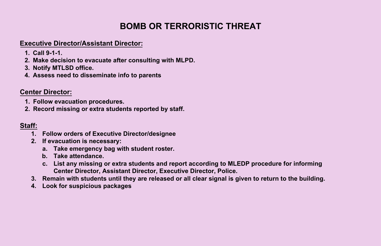# **BOMB OR TERRORISTIC THREAT**

# **1. Follow evacuation procedures. Executive Director/Assistant Director:**

- **2. Record missing or extra students reported by staff. 1. Call 9-1-1.**
- **2. Make decision to evacuate after consulting with MLPD.**
- **3. Notify MTLSD office.**
- **BOMB OR TERRORISTIC TERRORISTIC TERRORISTIC TERRORISTIC TERRORISTIC TERRORISTIC TERRORISTIC TERRITORISTIC TER Staff: 4. Assess need to disseminate info to parents**

# **Center Director: 2. If evacuation is necessary: Center Director:**

- **1. Follow evacuation procedures. a. Take emergency bag with student roster. b. Take attendance. 1. Follow evacuation procedures.**
- **2. Record missing or extra students reported by staff. 2.** Record missing or extra students reported by staff.  $\frac{1}{2}$

#### **Staff: Staff: 3. Remain with students until they are released or all clear signal is given to return to the building.**

- **1. Follow orders of Executive Director/designee 4.Look for suspicious packages BOMB OR TERRORISTIC THREAT**
- **2. If evacuation is necessary: 1. Follow orders of Executive Director/designee**
- **a.** Take emergency bag with student roster.<br> **BOMB OR TERRORISTIC THREAT IS NOTE** 
	- **b. Take attendance. a. Take emergency bag with student roster.**
	- **c. List any missing or extra students and report according to MLEDP procedure for informing b. Take attendance. Center Director, Assistant Director, Executive Director, Police. c. List any missing or extra students and report according to MLEDP procedure for informing**
- **3.** Remain with students until they are released or all clear signal is given to return to the building. **3. Remain with students until they are released or all clear signal is given to return to the building.**
- **4. Look for suspicious packages 4. Look for suspicious packages**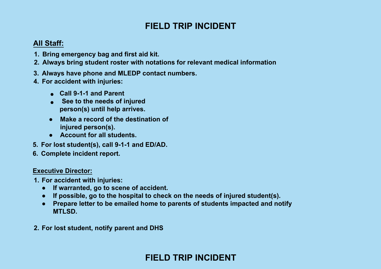#### **FIELD TRIP INCIDENT FIELD TRIP INCIDENT**

#### **All Staff: 1. Britannik bag and first aid kit.**

- **1. Bring emergency bag and first aid kit. 2.Always bring student roster with notations for relevant medical information**
- **2. Always bring student roster with notations for relevant medical information 3. Always have phone and MLEDP contact numbers.**
- **3. Always have phone and MLEDP contact numbers. 4. For accident with injuries:**
- **4. For accident with injuries: ● Call 9-1-1 and Parent**
	- **•** Call 9-1-1 and Parent
	- **•** See to the needs of injured person(s) until help arrives.
	- **•** Make a record of the destination of **injured person(s).**
- **6. Account for all students.**
- **5. For lost student(s), call 9-1-1 and ED/AD. 6. Complete incident report.**
- **6. Complete incident report.**

# **Executive Director: 1. For accident with injuries:**

- **1. For accident with injuries:**  $\qquad \qquad$ 
	- **•** If warranted, go to scene of accident. In the needs of injured student students of injured students of in
	- **•** If possible, go to the hospital to check on the needs of injured student(s).
	- **•** Prepare letter to be emailed home to parents of students impacted and notify **MTLSD.**
- **2. For lost student, notify parent and DHS**

# **FIELD TRIP INCIDENT**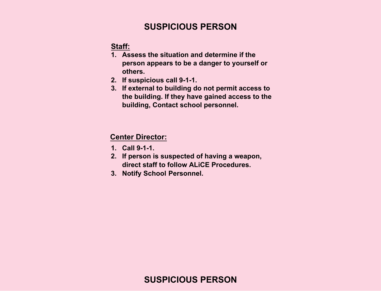# **SUSPICIOUS PERSON**

**Staff:** 

- **1. Assess the situation and determine if the person appears to be a danger to yourself or others.**
- **2. If suspicious call 9-1-1.**
- **3. If external to building do not permit access to the building. If they have gained access to the building, Contact school personnel.**

#### **Center Director:**

- **1. Call 9-1-1.**
- **2. If person is suspected of having a weapon, direct staff to follow ALiCE Procedures.**
- **3. Notify School Personnel.**

# **SUSPICIOUS PERSON**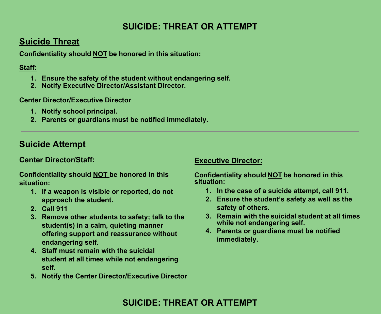# **SUICIDE: THREAT OR ATTEMPT**

# **Suicide Threat**

**Confidentiality should NOT be honored in this situation:** 

#### **Staff:**

- **1. Ensure the safety of the student without endangering self.**
- **2. Notify Executive Director/Assistant Director.**

#### **Center Director/Executive Director**

- **1. Notify school principal.**
- **2. Parents or guardians must be notified immediately.**

# **Suicide Attempt**

## **Center Director/Staff:**

**Confidentiality should NOT be honored in this situation:** 

- **1. If a weapon is visible or reported, do not approach the student.**
- **2. Call 911**
- **3. Remove other students to safety; talk to the student(s) in a calm, quieting manner offering support and reassurance without endangering self.**
- **4. Staff must remain with the suicidal student at all times while not endangering self.**
- **5. Notify the Center Director/Executive Director**

#### **Executive Director:**

**Confidentiality should NOT be honored in this situation:** 

- **1. In the case of a suicide attempt, call 911.**
- **2. Ensure the student's safety as well as the safety of others.**
- **3. Remain with the suicidal student at all times while not endangering self.**
- **4. Parents or guardians must be notified immediately.**

# **SUICIDE: THREAT OR ATTEMPT**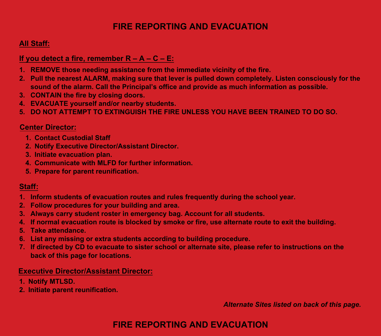# **FIRE REPORTING AND EVACUATION FIRE REPORTING AND EVACUATION**

## **All Staff: All Staff:**

### **If you detect a fire, remember R – A – C – E: If you detect a fire, remember R – A – C – E:**

- **1. REMOVE those needing assistance from the immediate vicinity of the fire. 1. REMOVE those needing assistance from the immediate vicinity of the fire.**
- **2. Pull the nearest ALARM, making sure that lever is pulled down completely. Listen consciously for the 2. Pull the nearest ALARM, making sure that lever is pulled down completely. Listen consciously for the sound of the alarm. Call the Principal's office and provide as much information as possible. sound of the alarm. Call the Principal's office and provide as much information as possible.**
- **3. CONTAIN the fire by closing doors. 3. CONTAIN the fire by closing doors.**
- **4. EVACUATE yourself and/or nearby students. 4. EVACUATE yourself and/or nearby students.**
- **5. DO NOT ATTEMPT TO EXTINGUISH THE FIRE UNLESS YOU HAVE BEEN TRAINED TO DO SO. 5. DO NOT ATTEMPT TO EXTINGUISH THE FIRE UNLESS YOU HAVE BEEN TRAINED TO DO SO.**

## **Center Director: Center Director:**

- **1. Contact Custodial Staff 1. Contact Custodial Staff**
- **2. Notify Executive Director/Assistant Director. 2. Notify Executive Director/Assistant Director.**
- **3. Initiate evacuation plan. 3. Initiate evacuation plan.**
- **4. Communicate with MLFD for further information. 4. Communicate with MLFD for further information.**
- **5. Prepare for parent reunification. 5. Prepare for parent reunification.**

## **Staff: Staff:**

- **1. Inform students of evacuation routes and rules frequently during the school year. 1. Inform students of evacuation routes and rules frequently during the school year.**
- **2. Follow procedures for your building and area. 2. Follow procedures for your building and area.**
- **3. Always carry student roster in emergency bag. Account for all students. 3. Always carry student roster in emergency bag. Account for all students.**
- 4. If normal evacuation route is blocked by smoke or fire, use alternate route to exit the building.
- **5. Take attendance. 5. Take attendance.**
- **6. List any missing or extra students according to building procedure. 6. List any missing or extra students according to building procedure.**
- 7. If directed by CD to evacuate to sister school or alternate site, please refer to instructions on the **back of this page for locations. back of this page for locations.**

## **Executive Director/Assistant Director: Executive Director/Assistant Director:**

- **1. Notify MTLSD. 1. Notify MTLSD.**
- **2. Initiate parent reunification. 2. Initiate parent reunification.**

*Alternate Sites listed on back of this page. Alternate Sites listed on back of this page.* 

# **FIRE REPORTING AND EVACUATION**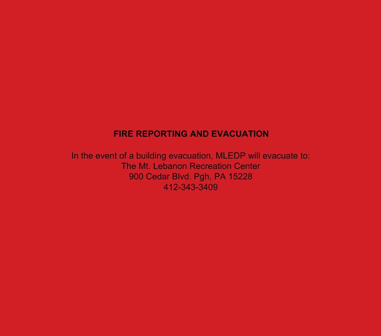# **FIRE REPORTING AND EVACUATION**

In the event of a building evacuation, MLEDP will evacuate to: The Mt. Lebanon Recreation Center 900 Cedar Blvd. Pgh, PA 15228 412-343-3409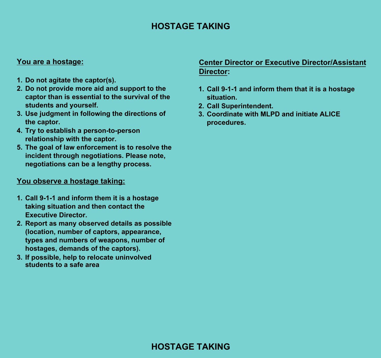# **HOSTAGE TAKING**

#### **You are a hostage:**

- **1. Do not agitate the captor(s).**
- **2. Do not provide more aid and support to the captor than is essential to the survival of the students and yourself.**
- **3. Use judgment in following the directions of the captor.**
- **4. Try to establish a person-to-person relationship with the captor.**
- **5. The goal of law enforcement is to resolve the incident through negotiations. Please note, negotiations can be a lengthy process.**

#### **You observe a hostage taking:**

- **1. Call 9-1-1 and inform them it is a hostage taking situation and then contact the Executive Director.**
- **2. Report as many observed details as possible (location, number of captors, appearance, types and numbers of weapons, number of hostages, demands of the captors).**
- **3. If possible, help to relocate uninvolved students to a safe area**

## **Center Director or Executive Director/Assistant Director:**

- **1. Call 9-1-1 and inform them that it is a hostage situation.**
- **2. Call Superintendent.**
- **3. Coordinate with MLPD and initiate ALICE procedures.**

# **HOSTAGE TAKING**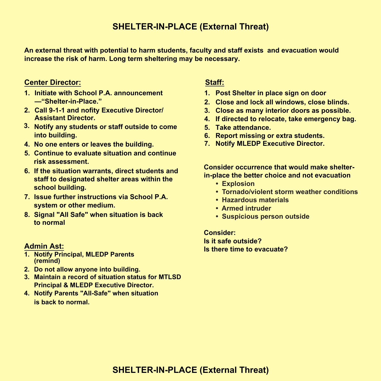# **SHELTER-IN-PLACE (External Threat) SHELTER-IN-PLACE (External Threat)**

**An external threat with potential to harm students, faculty and staff exists and evacuation would An external threat with potential to harm students, faculty and staff exists and evacuation would increase the risk of harm. Long term sheltering may be necessary. increase the risk of harm. Long term sheltering may be necessary.** 

#### **Center Director: Center Director:**

- **1. Initiate with School P.A. announcement 1. Initiate with School P.A. announcement —"Shelter-in-Place." —"Shelter-in-Place."**
- **2. Call 9-1-1 and nofity Executive Director/ 2. Call 9-1-1 and nofity Executive Director/ Assistant Director. Assistant Director.**
- **3. Notify any students or staff outside to come 3. Notify any students or staff outside to come into building. into building.**
- **4. No one enters or leaves the building. 4. No one enters or leaves the building.**
- **5. Continue to evaluate situation and continue 5. Continue to evaluate situation and continue risk assessment. risk assessment.**
- **6. If the situation warrants, direct students and 6. If the situation warrants, direct students and staff to designated shelter areas within the staff to designated shelter areas within the school building. school building.**
- **7. Issue further instructions via School P.A. 7. Issue further instructions via School P.A. system or other medium. system or other medium.**
- **8. Signal "All Safe" when situation is back 8. Signal "All Safe" when situation is back to normal to normal**

#### **Admin Ast: Admin Ast:**

- **1. Notify Principal, MLEDP Parents 1. Notify Principal, MLEDP Parents (remind) (remind)**
- **2. Do not allow anyone into building. 2. Do not allow anyone into building.**
- **3. Maintain a record of situation status for MTLSD 3. Maintain a record of situation status for MTLSD Principal & MLEDP Executive Director. Principal & MLEDP Executive Director.**
- **4. Notify Parents "All-Safe" when situation 4. Notify Parents "All-Safe" when situation is back to normal. is back to normal.**

#### **Staff: Staff:**

- **1. Post Shelter in place sign on door 1. Post Shelter in place sign on door**
- **2. Close and lock all windows, close blinds. 2. Close and lock all windows, close blinds.**
- **3. Close as many interior doors as possible. 3. Close as many interior doors as possible.**
- **4. If directed to relocate, take emergency bag. 4. If directed to relocate, take emergency bag.**
- **5. Take attendance. 5. Take attendance.**
- **6. Report missing or extra students. 6. Report missing or extra students.**
- **7. Notify MLEDP Executive Director. 7. Notify MLEDP Executive Director.**

 **Consider occurrence that would make shelter-Consider occurrence that would make shelterin-place the better choice and not evacuation in-place the better choice and not evacuation**

- **Explosion**
- **Tornado/violent storm weather conditions**
- **Hazardous materials**
- **Armed intruder**
- **Suspicious person outside**

**Consider: Consider: Is it safe outside? Is it safe outside? Is there time to evacuate? Is there time to evacuate?**

# **SHELTER-IN-PLACE (External Threat)**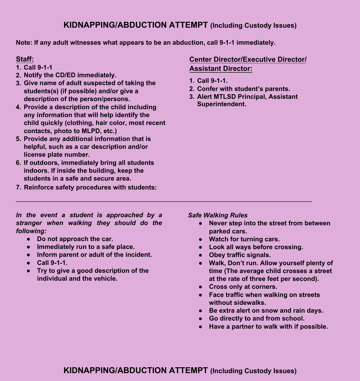# **KIDNAPPING/ABDUCTION ATTEMPT (Including Custody Issues)**

**Note: If any adult witnesses what appears to be an abduction, call 9-1-1 immediately.** 

#### **Staff:**

- **1. Call 9-1-1**
- **2. Notify the CD/ED immediately.**
- **3. Give name of adult suspected of taking the students(s) (if possible) and/or give a description of the person/persons.**
- **4. Provide a description of the child including any information that will help identify the child quickly (clothing, hair color, most recent contacts, photo to MLPD, etc.)**
- **5. Provide any additional information that is helpful, such as a car description and/or license plate number.**
- **6. If outdoors, immediately bring all students indoors. If inside the building, keep the students in a safe and secure area.**
- **7. Reinforce safety procedures with students:**

## **Center Director/Executive Director/ Assistant Director:**

- **1. Call 9-1-1.**
- **2. Confer with student's parents.**
- **3. Alert MTLSD Principal, Assistant Superintendent.**

#### *In the event a student is approached by a stranger when walking they should do the following:*

- **Do not approach the car.**
- **Immediately run to a safe place.**
- **Inform parent or adult of the incident.**
- **Call 9-1-1.**
- **Try to give a good description of the individual and the vehicle.**

#### *Safe Walking Rules*

- **Never step into the street from between parked cars.**
- **Watch for turning cars.**
- **Look all ways before crossing.**
- **Obey traffic signals.**
- **Walk, Don't run. Allow yourself plenty of time (The average child crosses a street at the rate of three feet per second).**
- **Cross only at corners.**
- **Face traffic when walking on streets without sidewalks.**
- **Be extra alert on snow and rain days.**
- **Go directly to and from school.**
- **Have a partner to walk with if possible.**

 $\_$  ,  $\_$  ,  $\_$  ,  $\_$  ,  $\_$  ,  $\_$  ,  $\_$  ,  $\_$  ,  $\_$  ,  $\_$  ,  $\_$  ,  $\_$  ,  $\_$  ,  $\_$  ,  $\_$  ,  $\_$  ,  $\_$  ,  $\_$  ,  $\_$  ,  $\_$  ,  $\_$  ,  $\_$  ,  $\_$  ,  $\_$  ,  $\_$  ,  $\_$  ,  $\_$  ,  $\_$  ,  $\_$  ,  $\_$  ,  $\_$  ,  $\_$  ,  $\_$  ,  $\_$  ,  $\_$  ,  $\_$  ,  $\_$  ,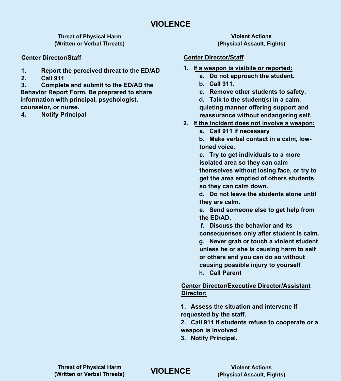**Threat of Physical Harm (Written or Verbal Threats)**

#### **Center Director/Staff Center Director/Staff**

- **1. Report the perceived threat to the ED/AD**
- **2. Call 911**

**3. Complete and submit to the ED/AD the Behavior Report Form. Be preprared to share information with principal, psychologist, counselor, or nurse.**

**4. Notify Principal**

**Violent Actions (Physical Assault, Fights)**

- **1. If a weapon is visibile or reported:**
	- **a. Do not approach the student.**
	- **b. Call 911.**
	- **c. Remove other students to safety.**

**d. Talk to the student(s) in a calm, quieting manner offering support and reassurance without endangering self.**

- **2. If the incident does not involve a weapon:**
	- **a. Call 911 if necessary**

**b. Make verbal contact in a calm, lowtoned voice.**

**c. Try to get individuals to a more isolated area so they can calm themselves without losing face, or try to get the area emptied of others students so they can calm down.**

**d. Do not leave the students alone until they are calm.**

**e. Send someone else to get help from the ED/AD.**

**f. Discuss the behavior and its consequenses only after student is calm. g. Never grab or touch a violent student unless he or she is causing harm to self or others and you can do so without causing possible injury to yourself h. Call Parent**

#### **Center Director/Executive Director/Assistant Director:**

**1. Assess the situation and intervene if requested by the staff.**

**2. Call 911 if students refuse to cooperate or a to cooperate weapon is involved**

**3. Notify Principal.**

**VIOLENCE VIOLENCE**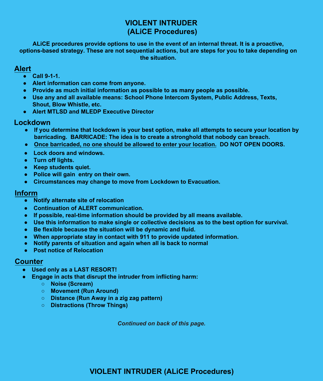# **VIOLENT INTRUDER (ALiCE Procedures)**

ALICE procedures provide options to use in the event of an internal threat. It is a proactive, options-based strategy. These are not sequential actions, but are steps for you to take depending on **existence of the situation. Company and all available means: System, Public Address, Texts, Texts, Texts, Texts, Texts, Texts, Texts, Texts, Texts, Texts, Texts, Texts, Texts, Texts, Texts, Texts, Texts, Texts, Texts,** 

#### **Alert ● Alert MTLSD and MLEDP Executive Director**

- **Call 9-1-1.**
- **e** Alert information can come from anyone.
	- Provide as much initial information as possible to as many people as possible.
	- **•** Use any and all available means: School Phone Intercom System, Public Address, Texts, **Shout, Blow Whistle, etc. ● Once barricaded, no one should be allowed to enter your location. DO NOT OPEN DOORS.**
	- **Alert MTLSD and MLEDP Executive Director**

# Lockdown

- **If you determine that lockdown is your best option, make all attempts to secure your location by barricading. BARRICADE: The idea is to create a stronghold that nobody can breach. WEEP STUDENTS QUIETERS QUIETERS Police will generally will generally will generally will generally will generally will generally will generally will be a set of the set of the set of the set of the set of the set of the set of the set of the set of the**
- **Once barricaded, no one should be allowed to enter your location. DO NOT OPEN DOORS.**
- **e** Lock doors and windows.
	- **Turn off lights.**
	- **Communication of ALERT communication**.
	- **Police will gain entry on their own.** All means are provided by all means are provided by all means are provided by
	- **Circumstances may change to move from Lockdown to Evacuation.** As the best option for survival

## **Inform**

- **● Notify alternate site of relocation** and again when all is back to normall is back to normall is back to normall is back to normall is back to normall is back to normall is back to normall is back to normall is back t **● When appropriate stay in contact with 911 to provide updated information.**
- **•** Continuation of ALERT communication.
- **If possible, real-time information should be provided by all means available.**
- **Construction information of the single or collective decisions as to the best option for survival.**<br>● Use this information to make single or collective decisions as to the best option for survival.
	- **•** Be flexible because the situation will be dynamic and fluid.
	- **When appropriate stay in contact with 911 to provide updated information.**
	- **Notify parents of situation and again when all is back to normal**
	- **Post notice of Relocation**

## **Counter**

- **Used only as a LAST RESORT!**
- **e** Engage in acts that disrupt the intruder from inflicting harm:
	- **Based on information, you may need our choose to evacuate to evacuate to evacuate**
	- △ **Movement (Run Around)**
	- $\circ$  **Distance (Run Away in a zig zag pattern)**  $\circ$  **Based on intervals**
	- **Distractions (Throw Things) Go to safe spot, alternate sites if possible. Call 9-1-1.**

**● Based on information, you may need or choose to evacuate.** *Continued on back of this page.***● Take emergency evac kit/1st aid supplies and and child meds as well as**

# **Procedures of the building. Take attendance at the building. Take at the building. The building of the building. The building**  $\mathbf{S}$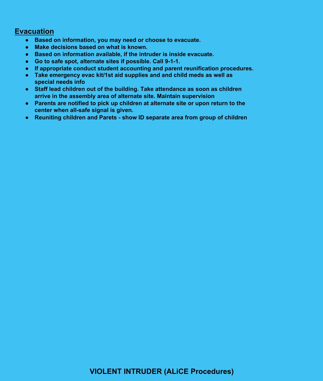#### **Evacuation Alert**  <u>acuation</u>

- Based on information, you may need or choose to evacuate.
- Provide as much interest in the asset of the asset of the asset of the asset of the asset of the asset of the asset of the asset of the asset of the asset of the asset of the asset of the asset of the asset of the asset
- Based on information available, if the intruder is inside evacuate.
- **•** Go to safe spot, alternate sites if possible. Call 9-1-1.
- **●** If appropriate conduct student accounting and parent reunification procedures.
- **● Take emergency evac kit/1st aid supplies and and child meds as well as Special needs info** 
	- **●** Staff lead children out of the building. Take attendance as soon as children **arrive in the assembly area of alternate site. Maintain supervision and a stronghold that**  $\alpha$
	- **●** Parents are notified to pick up children at alternate site or upon return to the  $\blacksquare$  center when all-safe signal is given.
	- Reuniting children and Parets show ID separate area from group of children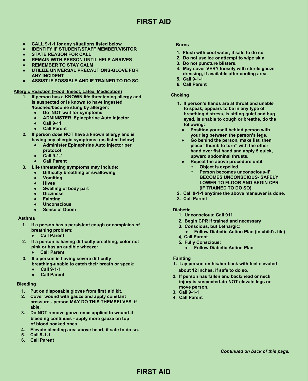# **FIRST AID**

- **CALL 9-1-1 for any situations listed below CALL 9-1-1 for any situations listed below**
- **IDENTIFY IF STUDENT/STAFF MEMBER/VISITOR**
- **STATE REASON FOR CALL STATE REASON FOR CALL**
- **REMAIN WITH PERSON UNTIL HELP ARRIVES**
- **REMEMBER TO STAY CALM REMEMBER TO STAY CALM**
- **UTILIZE UNIVERSAL PRECAUTIONS-GLOVE FOR ANY INCIDENT ANY INCIDENT**
- **ASSIST IF POSSIBLE AND IF TRAINED TO DO SO**

#### **Allergic Reaction (Food, Insect, Latex, Medication)**

- **1. If person has a KNOWN life threatening allergy and 1.If person has a KNOWN life threatening allergy andis suspected or is known to have ingested /touched/become stung by allergen: /touched/become stung by allergen:6.** Call Parent<br> **6.** Call Parent<br> **16.** Call Parent<br> **16.** Theoson has a KNOWIN life threationing allongy and<br> **16.** If person has a KNOWIN life threationing allongy and<br> **4.** Call Parent<br> **16.** Do NOT wait for symptoms<br>
	- **Do NOT wait for symptoms**
	- **ADMINISTER Epinephrine Auto Injector ADMINISTER Epinephrine Auto Injector**
	- **Call 9-11**
	- **Call Parent**
- **2. If person does NOT have a known allergy and is having any allergic symptoms: (as listed below)**
	- **Administer Epinephrine Auto Injector per protocol**
	- **Call 9-1-1**
	- **Call Parent**
- **3. Life threatening symptoms may include:**
	- **Difficulty breathing or swallowing**
	- **Vomiting**
	- **Hives**
	- **Swelling of body part**
	- **Dizziness**
	- **Fainting**
	- **Unconscious**
	- **Sense of Doom**

#### **Asthma**

- **1. If a person has a persistent cough or complains of 1.If a person has a persistent cough or complains ofbreathing problem:**
	- **● Call Parent ●Call Parent**
- **2. If a person is having difficulty breathing, color not pink or has an audible wheeze:**
	- **Call Parent** - - - - - - - - - -
- **3. If a person is having severe difficulty breathing-unable to catch their breath or speak: 3.** If a person is having severe difficulty<br> **3.** If a person is having severe difficulty<br>
breathing-unable to catch their breath or speak:<br>
● Call 9-1-1
	- **Call 9-1-1**
	- **● Call Parent**

#### **Bleeding**

- **1. Put on disposable gloves from first aid kit.**
- **2. Cover wound with gauze and apply constant pressure - person MAY DO THIS THEMSELVES, if able.** 2. Cover wound with gauze and apply constant<br>pressure - person MAY DO THIS THEMSELV<br>able.
- **3. Do NOT remove gauze once applied to wound-if bleeding continues - apply more gauze on top bleeding continues - apply more gauze on topof blood soaked ones.**
- **4. Elevate bleeding area above heart, if safe to do so. 4.Elevate bleeding area above heart, if safe to do so.**
- **5. Call 9-1-1**
- **6. Call Parent**

#### **Burns**

- **1. Flush with cool water, if safe to do so.**
- **2. Do not use ice or attempt to wipe skin.**
- **3. Do not puncture blisters.**
- **4. May cover VERY loosely with sterile gauze dressing, if available after cooling area.**
- **5. Call 9-1-1**
- **6. Call Parent**

#### **Choking**

- **1. If person's hands are at throat and unable 1. If person's hands are at throat and unableto speak, appears to be in any type of breathing distress, is sitting quiet and bug breathing distress, is sitting quiet and bugeyed, is unable to cough or breathe, do the following: following:**
	- **Position yourself behind person with your leg between the person's legs. your leg between the person's legs.**
- **Go behind the person, make fist, then place "thumb to turn" with the other place "thumb to turn" with the otherhand over fist hand and apply 5 quick, upward abdominal thrusts. upward abdominal thrusts.Continued on the continued of the continued on back of this page. The continued on the continued on the continued on back of this page. As the continued on the continued on the continued on the continued on the continued** 
	- **Repeat the above procedure until:**
		- **Object is expelled. Object is expelled.**
		- **Person becomes unconscious-IF BECOMES UNCONSCIOUS- SAFELY BECOMES UNCONSCIOUS- SAFELYLOWER TO FLOOR AND BEGIN CPR (IF TRAINED TO DO SO) (IF TRAINED TO DO SO)**
	- **2. Call 9-1-1 anytime the above maneuver is done.**
	- **3. Call Parent**

#### **Diabetic**

- **1. Unconscious: Call 911** \_\_\_\_\_\_\_\_\_\_\_\_\_\_\_\_\_\_\_\_
- **2. Begin CPR if trained and necessary**
- **3. Conscious, but Lethargic: 3.Conscious, but Lethargic:**
	- **Follow Diabetic Action Plan (in child's file)**
- **4. Call Parent 4.Call Parent**
- **Fully Conscious: 5. Fully Conscious:5.**
	- **Follow Diabetic Action Plan**

#### **Fainting**

- **1. Lay person on his/her back with feet elevated about 12 inches, if safe to do so. about 12 inches, if safe to do so.**
- **2. If person has fallen and back/head or neck injury is suspected-do NOT elevate legs or move person.**
- **3. Call 9-1-1 3.Call 9-1-1**
- **4. Call Parent**

# **FIRST AID**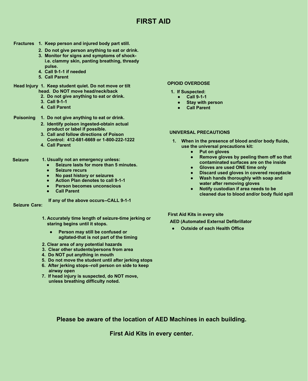# **FIRST AID**

#### **Fractures 1. Keep person and injured body part still.**

- **2. Do not give person anything to eat or drink.**
- **3. Monitor for signs and symptoms of shocki.e. clammy skin, panting breathing, thready pulse.**
- **4. Call 9-1-1 if needed**
- **5. Call Parent**

#### **Head Injury 1. Keep student quiet. Do not move or tilt head. Do NOT move head/neck/back**

- **2. Do not give anything to eat or drink.**
- **3. Call 9-1-1**
- **4. Call Parent**

#### **Poisoning 1. Do not give anything to eat or drink.**

- **2. Identify poison ingested-obtain actual product or label if possible.**
- **3. Call and follow directions of Poison Control: 412-681-6669 or 1-800-222-1222**
- **4. Call Parent**

#### **Seizure 1. Usually not an emergency unless:**

- **Seizure lasts for more than 5 minutes.**
- **Seizure recurs**
- **No past history or seizures**
- **Action Plan denotes to call 9-1-1**
- **Person becomes unconscious**
- **● Call Parent**

**If any of the above occurs--CALL 9-1-1**

#### **Seizure Care:**

- **1. Accurately time length of seizure-time jerking or staring begins until it stops.**
	- **Person may still be confused or agitated-that is not part of the timing**
- **2. Clear area of any potential hazards**
- **3. Clear other students/persons from area**
- **4. Do NOT put anything in mouth**
- **5. Do not move the student until after jerking stops**
- **6. After jerking stops--roll person on side to keep airway open**
- **7. If head injury is suspected, do NOT move, unless breathing difficulty noted.**

#### **OPIOID OVERDOSE**

- **1. If Suspected:**
	- **Call 9-1-1**
	- **● Stay with person**
	- **● Call Parent**

#### **UNIVERSAL PRECAUTIONS**

- **1. When in the presence of blood and/or body fluids, use the universal precautions kit:**
	- **Put on gloves**
	- **Remove gloves by peeling them off so that contaminated surfaces are on the inside**
	- **Gloves are used ONE time only**
	- **Discard used gloves in covered receptacle**
	- **Wash hands thoroughly with soap and water after removing gloves**
	- **Notify custodian if area needs to be cleaned due to blood and/or body fluid spill**

**First Aid Kits in every site**

- **AED (Automated External Defibrillator**
- **Outside of each Health Office**

**Please be aware of the location of AED Machines in each building.** 

**First Aid Kits in every center.**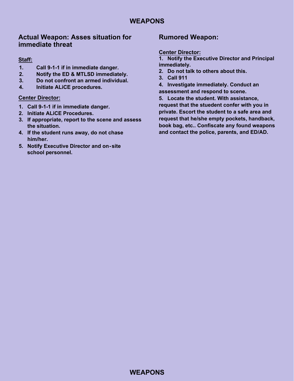# **Actual Weapon: Asses situation for immediate threat**

### **Staff:**

- **1. Call 9-1-1 if in immediate danger.**
- **2. Notify the ED & MTLSD immediately.**
- **3. Do not confront an armed individual.**
- **4. Initiate ALiCE procedures.**

#### **Center Director:**

- **1. Call 9-1-1 if in immediate danger.**
- **2. Initiate ALiCE Procedures.**
- **3. If appropriate, report to the scene and assess the situation.**
- **4. If the student runs away, do not chase him/her.**
- **5. Notify Executive Director and on site school personnel.**

# **Rumored Weapon:**

#### **Center Director:**

**1. Notify the Executive Director and Principal immediately.**

- **2. Do not talk to others about this.**
- **3. Call 911**

**4. Investigate immediately. Conduct an assessment and respond to scene.**

**5. Locate the student. With assistance, request that the stuedent confer with you in private. Escort the student to a safe area and request that he/she empty pockets, handback, book bag, etc.. Confiscate any found weapons and contact the police, parents, and ED/AD.**